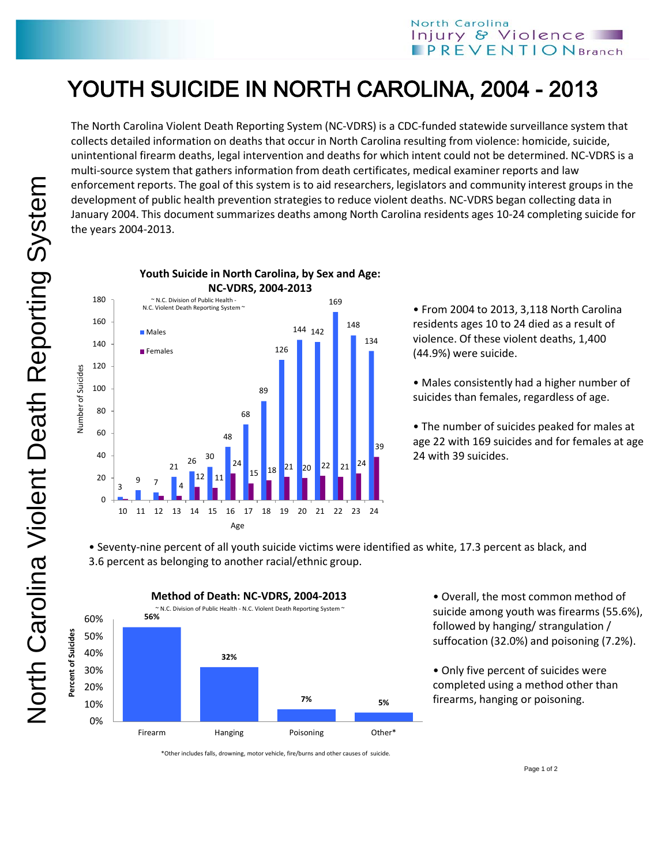## YOUTH SUICIDE IN NORTH CAROLINA, 2004 - 2013

The North Carolina Violent Death Reporting System (NC-VDRS) is a CDC-funded statewide surveillance system that collects detailed information on deaths that occur in North Carolina resulting from violence: homicide, suicide, unintentional firearm deaths, legal intervention and deaths for which intent could not be determined. NC-VDRS is a multi-source system that gathers information from death certificates, medical examiner reports and law enforcement reports. The goal of this system is to aid researchers, legislators and community interest groups in the development of public health prevention strategies to reduce violent deaths. NC-VDRS began collecting data in January 2004. This document summarizes deaths among North Carolina residents ages 10-24 completing suicide for the years 2004-2013.



**Youth Suicide in North Carolina, by Sex and Age:** 

• From 2004 to 2013, 3,118 North Carolina residents ages 10 to 24 died as a result of violence. Of these violent deaths, 1,400 (44.9%) were suicide.

• Males consistently had a higher number of suicides than females, regardless of age.

• The number of suicides peaked for males at age 22 with 169 suicides and for females at age 24 with 39 suicides.

• Seventy-nine percent of all youth suicide victims were identified as white, 17.3 percent as black, and 3.6 percent as belonging to another racial/ethnic group.



• Overall, the most common method of suicide among youth was firearms (55.6%), followed by hanging/ strangulation / suffocation (32.0%) and poisoning (7.2%).

• Only five percent of suicides were completed using a method other than firearms, hanging or poisoning.

\*Other includes falls, drowning, motor vehicle, fire/burns and other causes of suicide.